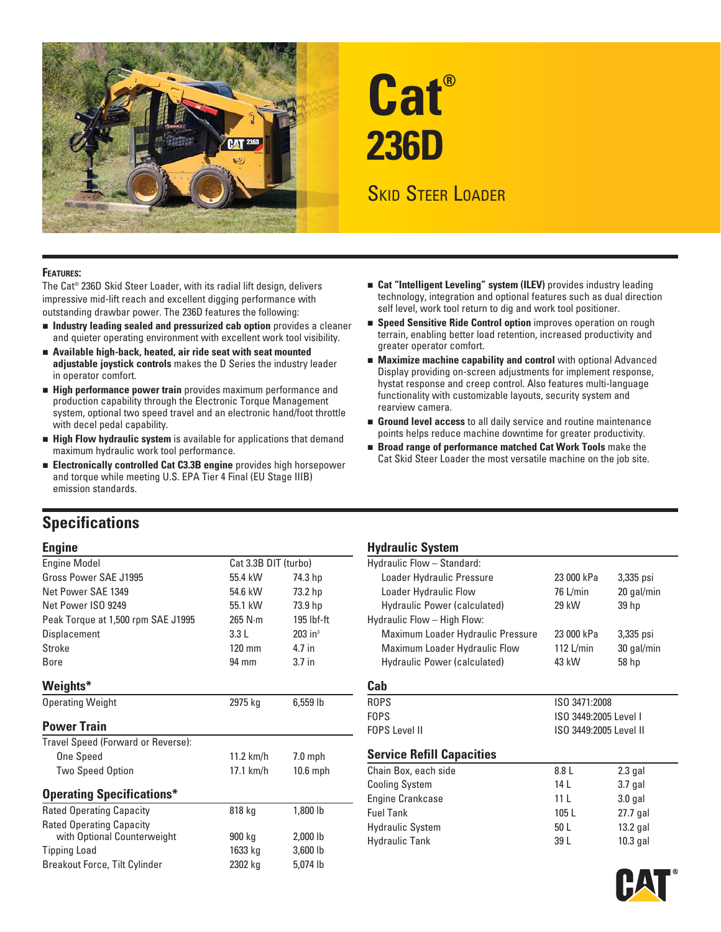

# **Cat® 236D**

## **SKID STEER LOADER**

#### **FEATURES:**

The Cat® 236D Skid Steer Loader, with its radial lift design, delivers impressive mid-lift reach and excellent digging performance with outstanding drawbar power. The 236D features the following:

- **Industry leading sealed and pressurized cab option** provides a cleaner and quieter operating environment with excellent work tool visibility.
- **Available high-back, heated, air ride seat with seat mounted adjustable joystick controls** makes the D Series the industry leader in operator comfort.
- **High performance power train** provides maximum performance and production capability through the Electronic Torque Management system, optional two speed travel and an electronic hand/foot throttle with decel pedal capability.
- **High Flow hydraulic system** is available for applications that demand maximum hydraulic work tool performance.
- **Electronically controlled Cat C3.3B engine** provides high horsepower and torque while meeting U.S. EPA Tier 4 Final (EU Stage IIIB) emission standards.

#### **Cat "Intelligent Leveling" system (ILEV)** provides industry leading technology, integration and optional features such as dual direction self level, work tool return to dig and work tool positioner.

- **Speed Sensitive Ride Control option** improves operation on rough terrain, enabling better load retention, increased productivity and greater operator comfort.
- **Maximize machine capability and control** with optional Advanced Display providing on-screen adjustments for implement response, hystat response and creep control. Also features multi-language functionality with customizable layouts, security system and rearview camera.
- **Ground level access** to all daily service and routine maintenance points helps reduce machine downtime for greater productivity.
- **Broad range of performance matched Cat Work Tools** make the Cat Skid Steer Loader the most versatile machine on the job site.

## **Specifications**

| <b>Engine Model</b>                  | Cat 3.3B DIT (turbo) |                       | Hydraulic Flow - Standard:        |                        |            |
|--------------------------------------|----------------------|-----------------------|-----------------------------------|------------------------|------------|
| Gross Power SAE J1995                | 55.4 kW              | 74.3 hp               | Loader Hydraulic Pressure         | 23 000 kPa             | 3,335 psi  |
| Net Power SAE 1349                   | 54.6 kW              | 73.2 hp               | Loader Hydraulic Flow             | 76 L/min               | 20 gal/min |
| Net Power ISO 9249                   | 55.1 kW              | 73.9 hp               | Hydraulic Power (calculated)      | 29 kW                  | 39 hp      |
| Peak Torque at 1,500 rpm SAE J1995   | $265$ N $\cdot$ m    | $195$ lbf-ft          | Hydraulic Flow - High Flow:       |                        |            |
| Displacement                         | 3.3L                 | $203$ in <sup>3</sup> | Maximum Loader Hydraulic Pressure | 23 000 kPa             | 3,335 psi  |
| Stroke                               | 120 mm               | 4.7 in                | Maximum Loader Hydraulic Flow     | 112 $L/min$            | 30 gal/min |
| <b>Bore</b>                          | 94 mm                | 3.7 <sub>in</sub>     | Hydraulic Power (calculated)      | 43 kW                  | 58 hp      |
| Weights*                             |                      |                       | Cab                               |                        |            |
| <b>Operating Weight</b>              | 2975 kg              | $6,559$ lb            | <b>ROPS</b>                       | ISO 3471:2008          |            |
|                                      |                      |                       | <b>FOPS</b>                       | ISO 3449:2005 Level I  |            |
| <b>Power Train</b>                   |                      |                       | <b>FOPS Level II</b>              | ISO 3449:2005 Level II |            |
| Travel Speed (Forward or Reverse):   |                      |                       |                                   |                        |            |
| <b>One Speed</b>                     | $11.2$ km/h          | $7.0$ mph             | <b>Service Refill Capacities</b>  |                        |            |
| <b>Two Speed Option</b>              | 17.1 km/h            | 10.6 mph              | Chain Box, each side              | 8.8 L                  | $2.3$ gal  |
|                                      |                      |                       | <b>Cooling System</b>             | 14L                    | $3.7$ gal  |
| <b>Operating Specifications*</b>     |                      |                       | Engine Crankcase                  | 11 <sup>L</sup>        | $3.0$ gal  |
| <b>Rated Operating Capacity</b>      | 818 kg               | 1,800 lb              | <b>Fuel Tank</b>                  | 105L                   | 27.7 gal   |
| <b>Rated Operating Capacity</b>      |                      |                       | <b>Hydraulic System</b>           | 50 L                   | $13.2$ gal |
| with Optional Counterweight          | 900 kg               | $2,000$ lb            | <b>Hydraulic Tank</b>             | 39 L                   | 10.3 gal   |
| Tipping Load                         | 1633 kg              | $3,600$ lb            |                                   |                        |            |
| <b>Breakout Force, Tilt Cylinder</b> | 2302 kg              | 5,074 lb              |                                   |                        |            |
|                                      |                      |                       |                                   |                        |            |

#### **Engine Engine Hydraulic System**

| Hydraulic Flow - Standard:        |                        |            |  |
|-----------------------------------|------------------------|------------|--|
| Loader Hydraulic Pressure         | 23 000 kPa             | 3,335 psi  |  |
| Loader Hydraulic Flow             | 76 L/min               | 20 gal/min |  |
| Hydraulic Power (calculated)      | 29 kW                  | 39 hp      |  |
| Hydraulic Flow - High Flow:       |                        |            |  |
| Maximum Loader Hydraulic Pressure | 23 000 kPa             | 3,335 psi  |  |
| Maximum Loader Hydraulic Flow     | 112 L/min              | 30 gal/min |  |
| Hydraulic Power (calculated)      | 43 kW                  | 58 hp      |  |
| Cab                               |                        |            |  |
| <b>ROPS</b>                       | ISO 3471:2008          |            |  |
| <b>FOPS</b>                       | ISO 3449:2005 Level I  |            |  |
| <b>FOPS Level II</b>              | ISO 3449:2005 Level II |            |  |
| <b>Service Refill Capacities</b>  |                        |            |  |
| Chain Box, each side              | 8.8 L                  | $2.3$ gal  |  |
| <b>Cooling System</b>             | 14 L                   | $3.7$ gal  |  |
| <b>Engine Crankcase</b>           | 11 <sup>L</sup>        | $3.0$ gal  |  |
| <b>Fuel Tank</b>                  | 105L                   | 27.7 gal   |  |
| <b>Hydraulic System</b>           | 50 L                   | $13.2$ gal |  |
| Hydraulic Tank                    | 39 L                   | $10.3$ gal |  |

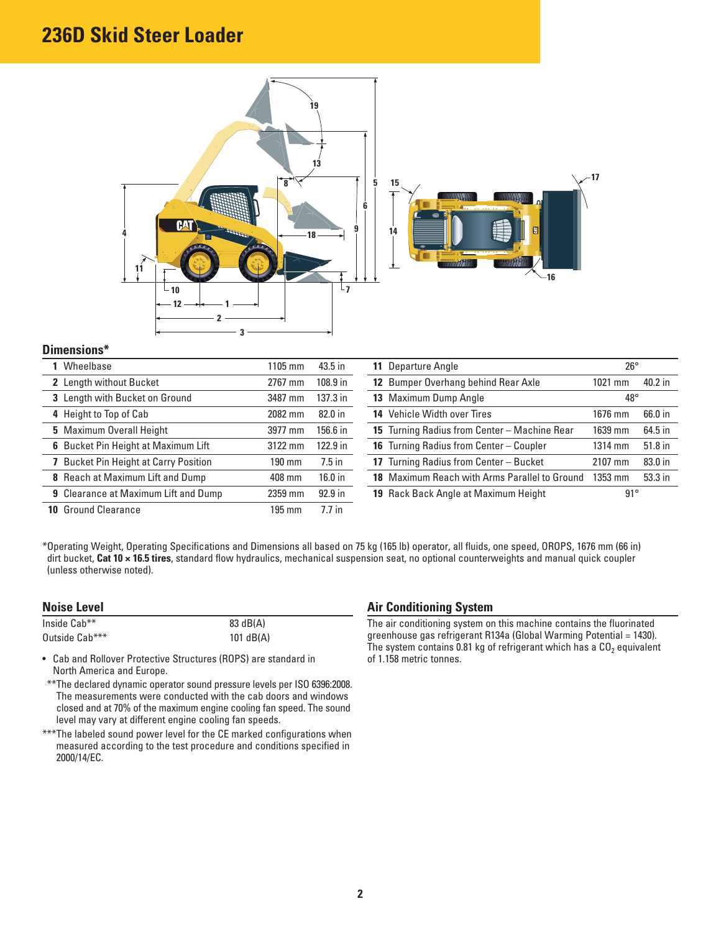## **236D Skid Steer Loader**



#### **Dimensions\***

| Wheelbase                                   | 1105 mm          | 43.5 in   | 11 Departure Angle                            | $26^{\circ}$ |         |
|---------------------------------------------|------------------|-----------|-----------------------------------------------|--------------|---------|
| 2 Length without Bucket                     | 2767 mm          | 108.9 in  | 12 Bumper Overhang behind Rear Axle           | 1021 mm      | 40.2 in |
| 3 Length with Bucket on Ground              | 3487 mm          | 137.3 in  | 13 Maximum Dump Angle                         | $48^{\circ}$ |         |
| 4 Height to Top of Cab                      | 2082 mm          | 82.0 in   | 14 Vehicle Width over Tires                   | 1676 mm      | 66.0 in |
| 5 Maximum Overall Height                    | 3977 mm          | 156.6 in  | 15 Turning Radius from Center - Machine Rear  | 1639 mm      | 64.5 in |
| 6 Bucket Pin Height at Maximum Lift         | 3122 mm          | 122.9 in  | 16 Turning Radius from Center - Coupler       | $1314$ mm    | 51.8 in |
| <b>Bucket Pin Height at Carry Position</b>  | 190 mm           | $7.5$ in  | 17 Turning Radius from Center - Bucket        | 2107 mm      | 83.0 in |
| 8 Reach at Maximum Lift and Dump            | 408 mm           | 16.0 in   | 18 Maximum Reach with Arms Parallel to Ground | 1353 mm      | 53.3 in |
| <b>9</b> Clearance at Maximum Lift and Dump | 2359 mm          | $92.9$ in | 19 Rack Back Angle at Maximum Height          | $91^{\circ}$ |         |
| <b>10 Ground Clearance</b>                  | $195 \text{ mm}$ | $7.7$ in  |                                               |              |         |

\*Operating Weight, Operating Specifications and Dimensions all based on 75 kg (165 lb) operator, all fluids, one speed, OROPS, 1676 mm (66 in) dirt bucket, **Cat 10 × 16.5 tires**, standard flow hydraulics, mechanical suspension seat, no optional counterweights and manual quick coupler (unless otherwise noted).

#### **Noise Level**

| Inside Cab**   | 83 dB(A)    |
|----------------|-------------|
| Outside Cab*** | 101 $dB(A)$ |

• Cab and Rollover Protective Structures (ROPS) are standard in North America and Europe.

\*\*\* The declared dynamic operator sound pressure levels per ISO 6396:2008. The measurements were conducted with the cab doors and windows closed and at 70% of the maximum engine cooling fan speed. The sound level may vary at different engine cooling fan speeds.

\*\*\* The labeled sound power level for the CE marked configurations when measured according to the test procedure and conditions specified in 2000/14/EC.

#### **Air Conditioning System**

The air conditioning system on this machine contains the fluorinated greenhouse gas refrigerant R134a (Global Warming Potential = 1430). The system contains 0.81 kg of refrigerant which has a  $CO<sub>2</sub>$  equivalent of 1.158 metric tonnes.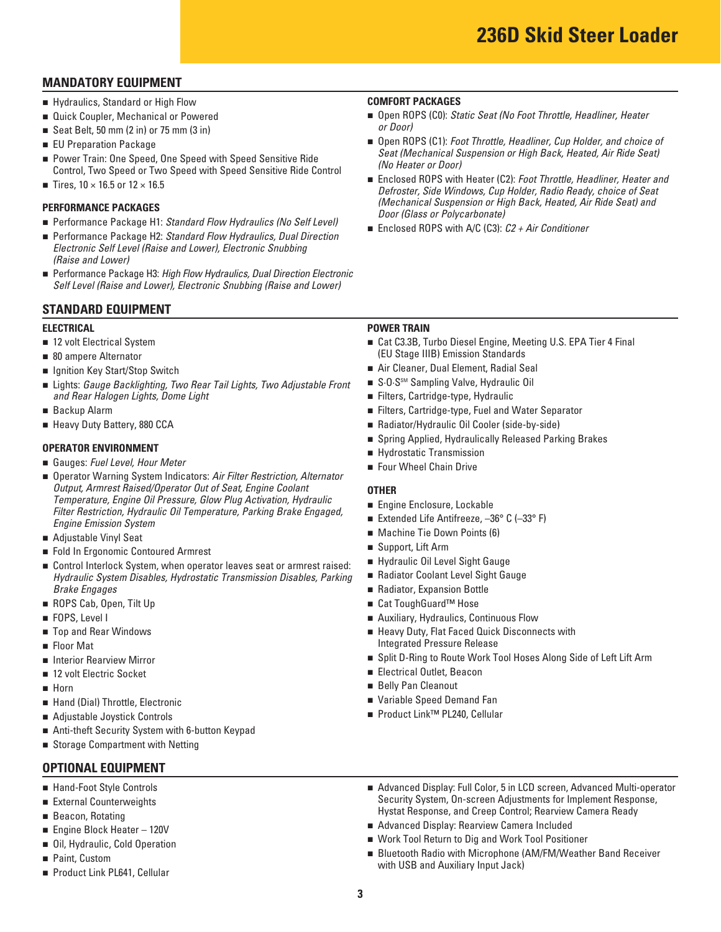### **MANDATORY EQUIPMENT**

- Hydraulics, Standard or High Flow
- Quick Coupler, Mechanical or Powered
- Seat Belt, 50 mm  $(2 \text{ in})$  or 75 mm  $(3 \text{ in})$
- **EU Preparation Package**
- Power Train: One Speed, One Speed with Speed Sensitive Ride Control, Two Speed or Two Speed with Speed Sensitive Ride Control
- Tires,  $10 \times 16.5$  or  $12 \times 16.5$

#### **PERFORMANCE PACKAGES**

- Performance Package H1: Standard Flow Hydraulics (No Self Level)
- Performance Package H2: Standard Flow Hydraulics, Dual Direction Electronic Self Level (Raise and Lower), Electronic Snubbing (Raise and Lower)
- Performance Package H3: High Flow Hydraulics, Dual Direction Electronic Self Level (Raise and Lower), Electronic Snubbing (Raise and Lower)

#### **STANDARD EQUIPMENT**

#### **ELECTRICAL**

- 12 volt Electrical System
- 80 ampere Alternator
- Ignition Key Start/Stop Switch
- Lights: Gauge Backlighting, Two Rear Tail Lights, Two Adjustable Front and Rear Halogen Lights, Dome Light
- Backup Alarm
- Heavy Duty Battery, 880 CCA

#### **OPERATOR ENVIRONMENT**

- Gauges: Fuel Level, Hour Meter
- Operator Warning System Indicators: Air Filter Restriction, Alternator Output, Armrest Raised/Operator Out of Seat, Engine Coolant Temperature, Engine Oil Pressure, Glow Plug Activation, Hydraulic Filter Restriction, Hydraulic Oil Temperature, Parking Brake Engaged, Engine Emission System
- Adjustable Vinyl Seat
- Fold In Ergonomic Contoured Armrest
- Control Interlock System, when operator leaves seat or armrest raised: Hydraulic System Disables, Hydrostatic Transmission Disables, Parking Brake Engages
- **ROPS Cab, Open, Tilt Up**
- FOPS, Level I
- Top and Rear Windows
- Floor Mat
- **E** Interior Rearview Mirror
- 12 volt Electric Socket
- Horn
- Hand (Dial) Throttle, Electronic
- Adjustable Joystick Controls
- Anti-theft Security System with 6-button Keypad
- Storage Compartment with Netting

#### **OPTIONAL EQUIPMENT**

- Hand-Foot Style Controls
- External Counterweights
- Beacon, Rotating
- **Engine Block Heater 120V**
- **0il, Hydraulic, Cold Operation**
- **Paint, Custom**
- Product Link PL641, Cellular

#### **COMFORT PACKAGES**

- Open ROPS (C0): Static Seat (No Foot Throttle, Headliner, Heater or Door)
- Open ROPS (C1): Foot Throttle, Headliner, Cup Holder, and choice of Seat (Mechanical Suspension or High Back, Heated, Air Ride Seat) (No Heater or Door)
- Enclosed ROPS with Heater (C2): Foot Throttle, Headliner, Heater and Defroster, Side Windows, Cup Holder, Radio Ready, choice of Seat (Mechanical Suspension or High Back, Heated, Air Ride Seat) and Door (Glass or Polycarbonate)
- Enclosed ROPS with A/C (C3): C2 + Air Conditioner

#### **POWER TRAIN**

- Cat C3.3B, Turbo Diesel Engine, Meeting U.S. EPA Tier 4 Final (EU Stage IIIB) Emission Standards
- Air Cleaner, Dual Element, Radial Seal
- S.O.S<sup>sM</sup> Sampling Valve, Hydraulic Oil
- Filters, Cartridge-type, Hydraulic
- Filters, Cartridge-type, Fuel and Water Separator
- Radiator/Hydraulic Oil Cooler (side-by-side)
- Spring Applied, Hydraulically Released Parking Brakes
- Hydrostatic Transmission
- Four Wheel Chain Drive

#### **OTHER**

- Engine Enclosure, Lockable
- Extended Life Antifreeze, –36° C (–33° F)
- **Nachine Tie Down Points (6)**
- Support, Lift Arm
- Hydraulic Oil Level Sight Gauge
- Radiator Coolant Level Sight Gauge
- Radiator, Expansion Bottle
- Cat ToughGuard<sup>™</sup> Hose
- Auxiliary, Hydraulics, Continuous Flow
- Heavy Duty, Flat Faced Quick Disconnects with Integrated Pressure Release
- Split D-Ring to Route Work Tool Hoses Along Side of Left Lift Arm
- Electrical Outlet, Beacon
- Belly Pan Cleanout
- Variable Speed Demand Fan
- Product Link<sup>™</sup> PL240, Cellular
- **Advanced Display: Full Color, 5 in LCD screen, Advanced Multi-operator Advanced Display: Full Color, 5 in LCD screen, Advanced Multi-operator** Security System, On-screen Adjustments for Implement Response, Hystat Response, and Creep Control; Rearview Camera Ready
- Engine Block Heater 120V **block** Heater 120V **and Engine Block Heater 120V** and Engine Block Heater 120V
- Work Tool Return to Dig and Work Tool Positioner  **Oil**, Hydraulic, Cold Operation
- Bluetooth Radio with Microphone (AM/FM/Weather Band Receiver<br>■ Paint, Custom with USB and Auxiliary Input Jack) with USB and Auxiliary Input Jack)